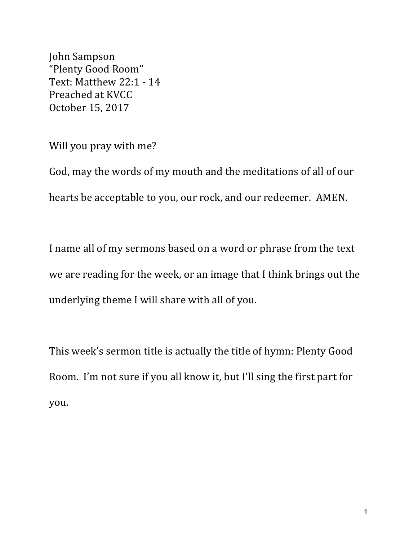John Sampson "Plenty Good Room" Text: Matthew 22:1 - 14 Preached at KVCC October 15, 2017

Will you pray with me?

God, may the words of my mouth and the meditations of all of our hearts be acceptable to you, our rock, and our redeemer. AMEN.

I name all of my sermons based on a word or phrase from the text we are reading for the week, or an image that I think brings out the underlying theme I will share with all of you.

This week's sermon title is actually the title of hymn: Plenty Good Room. I'm not sure if you all know it, but I'll sing the first part for you.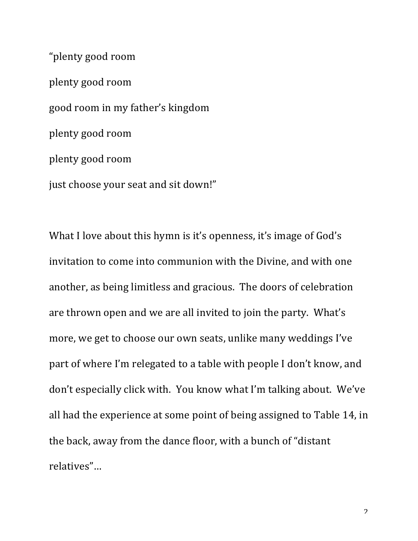"plenty good room plenty good room good room in my father's kingdom plenty good room plenty good room just choose your seat and sit down!"

What I love about this hymn is it's openness, it's image of God's invitation to come into communion with the Divine, and with one another, as being limitless and gracious. The doors of celebration are thrown open and we are all invited to join the party. What's more, we get to choose our own seats, unlike many weddings I've part of where I'm relegated to a table with people I don't know, and don't especially click with. You know what I'm talking about. We've all had the experience at some point of being assigned to Table 14, in the back, away from the dance floor, with a bunch of "distant" relatives"…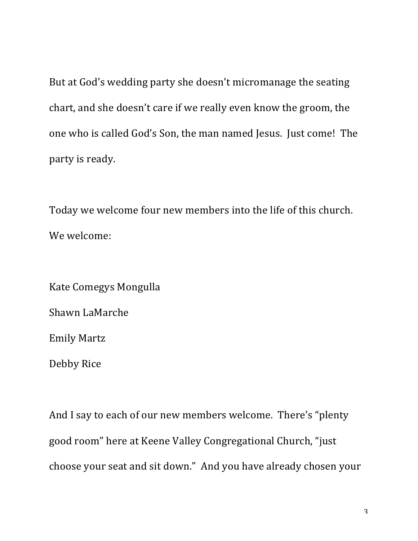But at God's wedding party she doesn't micromanage the seating chart, and she doesn't care if we really even know the groom, the one who is called God's Son, the man named Jesus. Just come! The party is ready.

Today we welcome four new members into the life of this church. We welcome:

Kate Comegys Mongulla

Shawn LaMarche

Emily Martz

Debby Rice

And I say to each of our new members welcome. There's "plenty good room" here at Keene Valley Congregational Church, "just choose your seat and sit down." And you have already chosen your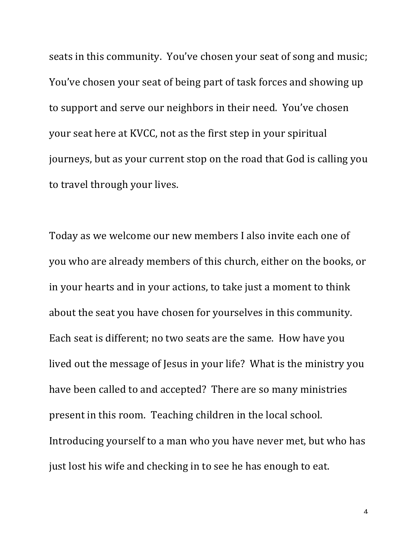seats in this community. You've chosen your seat of song and music; You've chosen your seat of being part of task forces and showing up to support and serve our neighbors in their need. You've chosen your seat here at KVCC, not as the first step in your spiritual journeys, but as your current stop on the road that God is calling you to travel through your lives.

Today as we welcome our new members I also invite each one of you who are already members of this church, either on the books, or in your hearts and in your actions, to take just a moment to think about the seat you have chosen for yourselves in this community. Each seat is different; no two seats are the same. How have you lived out the message of Jesus in your life? What is the ministry you have been called to and accepted? There are so many ministries present in this room. Teaching children in the local school. Introducing yourself to a man who you have never met, but who has just lost his wife and checking in to see he has enough to eat.

 $\Delta$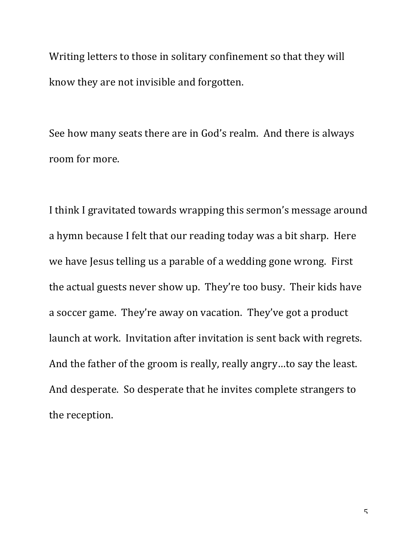Writing letters to those in solitary confinement so that they will know they are not invisible and forgotten.

See how many seats there are in God's realm. And there is always room for more.

I think I gravitated towards wrapping this sermon's message around a hymn because I felt that our reading today was a bit sharp. Here we have Jesus telling us a parable of a wedding gone wrong. First the actual guests never show up. They're too busy. Their kids have a soccer game. They're away on vacation. They've got a product launch at work. Invitation after invitation is sent back with regrets. And the father of the groom is really, really angry...to say the least. And desperate. So desperate that he invites complete strangers to the reception.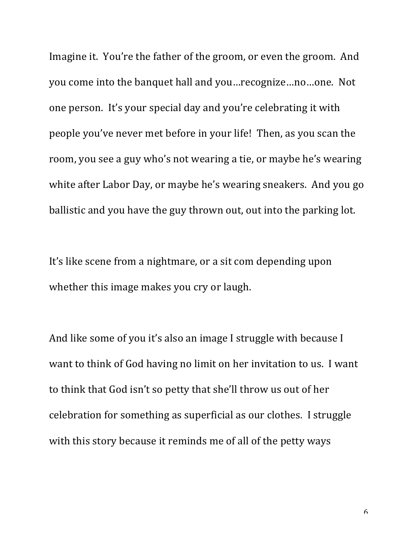Imagine it. You're the father of the groom, or even the groom. And you come into the banquet hall and you...recognize...no...one. Not one person. It's your special day and you're celebrating it with people you've never met before in your life! Then, as you scan the room, you see a guy who's not wearing a tie, or maybe he's wearing white after Labor Day, or maybe he's wearing sneakers. And you go ballistic and you have the guy thrown out, out into the parking lot.

It's like scene from a nightmare, or a sit com depending upon whether this image makes you cry or laugh.

And like some of you it's also an image I struggle with because I want to think of God having no limit on her invitation to us. I want to think that God isn't so petty that she'll throw us out of her celebration for something as superficial as our clothes. I struggle with this story because it reminds me of all of the petty ways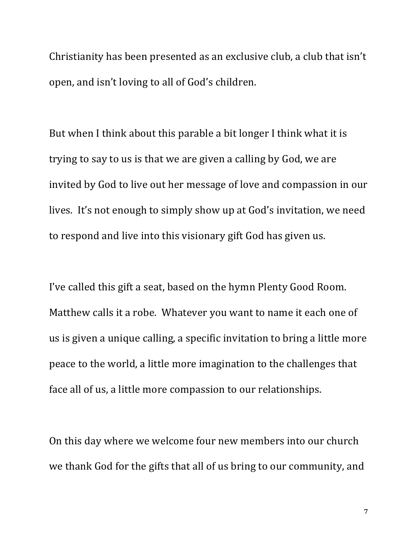Christianity has been presented as an exclusive club, a club that isn't open, and isn't loving to all of God's children.

But when I think about this parable a bit longer I think what it is trying to say to us is that we are given a calling by God, we are invited by God to live out her message of love and compassion in our lives. It's not enough to simply show up at God's invitation, we need to respond and live into this visionary gift God has given us.

I've called this gift a seat, based on the hymn Plenty Good Room. Matthew calls it a robe. Whatever you want to name it each one of us is given a unique calling, a specific invitation to bring a little more peace to the world, a little more imagination to the challenges that face all of us, a little more compassion to our relationships.

On this day where we welcome four new members into our church we thank God for the gifts that all of us bring to our community, and